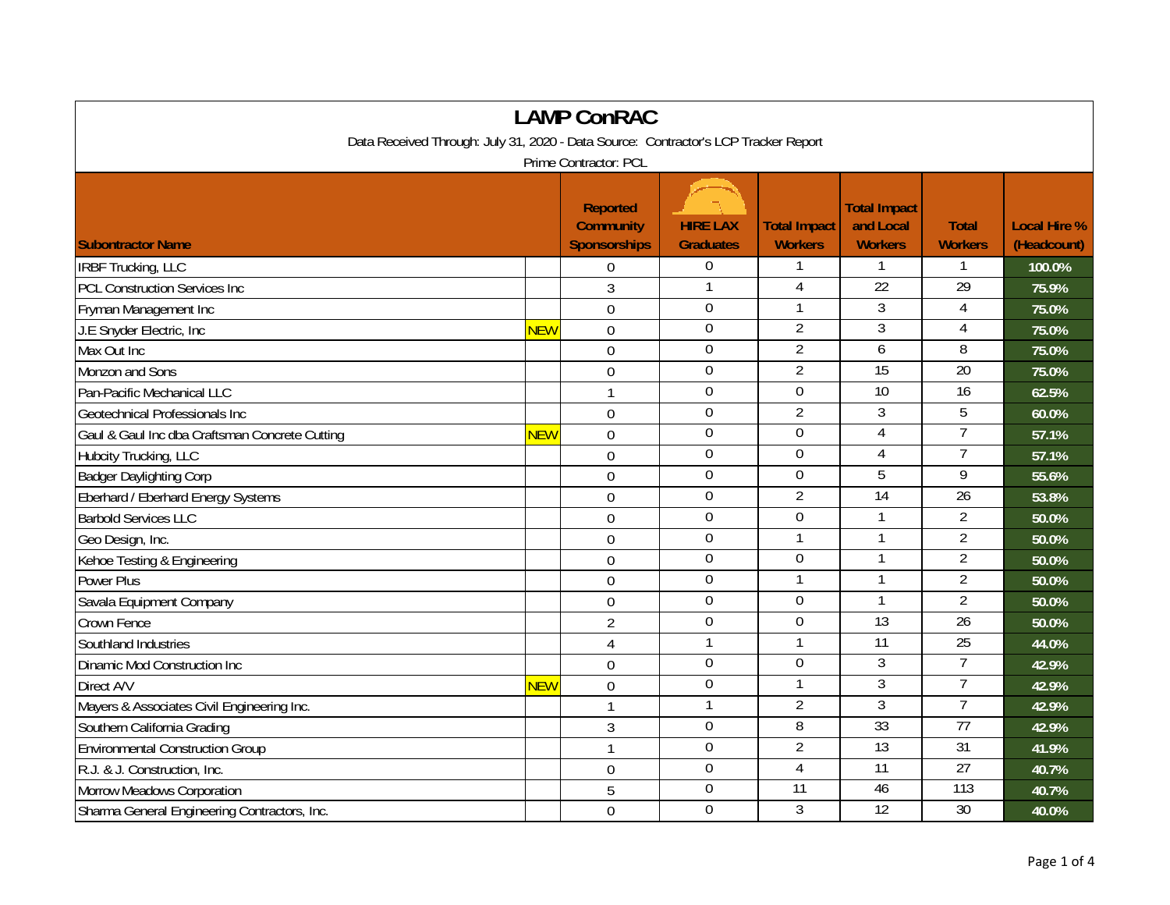| <b>LAMP ConRAC</b>                                                                  |            |                                                            |                                     |                                       |                                                    |                                |                                    |  |
|-------------------------------------------------------------------------------------|------------|------------------------------------------------------------|-------------------------------------|---------------------------------------|----------------------------------------------------|--------------------------------|------------------------------------|--|
| Data Received Through: July 31, 2020 - Data Source: Contractor's LCP Tracker Report |            |                                                            |                                     |                                       |                                                    |                                |                                    |  |
| Prime Contractor: PCL                                                               |            |                                                            |                                     |                                       |                                                    |                                |                                    |  |
| <b>Subontractor Name</b>                                                            |            | <b>Reported</b><br><b>Community</b><br><b>Sponsorships</b> | <b>HIRE LAX</b><br><b>Graduates</b> | <b>Total Impact</b><br><b>Workers</b> | <b>Total Impact</b><br>and Local<br><b>Workers</b> | <b>Total</b><br><b>Workers</b> | <b>Local Hire %</b><br>(Headcount) |  |
| <b>IRBF Trucking, LLC</b>                                                           |            | 0                                                          | $\boldsymbol{0}$                    | 1                                     | 1                                                  | 1                              | 100.0%                             |  |
| <b>PCL Construction Services Inc</b>                                                |            | 3                                                          | $\mathbf{1}$                        | 4                                     | $\overline{22}$                                    | $\overline{29}$                | 75.9%                              |  |
| Fryman Management Inc                                                               |            | $\overline{0}$                                             | $\mathbf 0$                         |                                       | $\overline{3}$                                     | $\overline{4}$                 | 75.0%                              |  |
| J.E Snyder Electric, Inc.                                                           | <b>NEW</b> | 0                                                          | $\mathbf 0$                         | $\overline{2}$                        | 3                                                  | $\overline{4}$                 | 75.0%                              |  |
| Max Out Inc                                                                         |            | $\mathbf 0$                                                | $\overline{0}$                      | $\overline{2}$                        | 6                                                  | 8                              | 75.0%                              |  |
| Monzon and Sons                                                                     |            | $\mathbf 0$                                                | $\boldsymbol{0}$                    | $\overline{2}$                        | 15                                                 | 20                             | 75.0%                              |  |
| Pan-Pacific Mechanical LLC                                                          |            | $\mathbf{1}$                                               | $\boldsymbol{0}$                    | $\mathbf 0$                           | 10                                                 | 16                             | 62.5%                              |  |
| Geotechnical Professionals Inc                                                      |            | $\overline{0}$                                             | $\boldsymbol{0}$                    | $\overline{2}$                        | 3                                                  | 5                              | 60.0%                              |  |
| Gaul & Gaul Inc dba Craftsman Concrete Cutting                                      | NEW        | $\overline{0}$                                             | $\boldsymbol{0}$                    | $\mathbf 0$                           | $\overline{4}$                                     | $\overline{7}$                 | 57.1%                              |  |
| Hubcity Trucking, LLC                                                               |            | $\overline{0}$                                             | $\mathbf 0$                         | $\overline{0}$                        | $\overline{4}$                                     | $\overline{7}$                 | 57.1%                              |  |
| <b>Badger Daylighting Corp</b>                                                      |            | 0                                                          | $\mathbf 0$                         | $\mathbf 0$                           | 5                                                  | 9                              | 55.6%                              |  |
| Eberhard / Eberhard Energy Systems                                                  |            | $\overline{0}$                                             | $\mathbf 0$                         | $\overline{2}$                        | $\overline{14}$                                    | 26                             | 53.8%                              |  |
| <b>Barbold Services LLC</b>                                                         |            | $\mathbf 0$                                                | $\mathbf 0$                         | 0                                     |                                                    | $\overline{2}$                 | 50.0%                              |  |
| Geo Design, Inc.                                                                    |            | $\mathbf 0$                                                | $\boldsymbol{0}$                    | $\mathbf{1}$                          | $\mathbf{1}$                                       | $\overline{2}$                 | 50.0%                              |  |
| Kehoe Testing & Engineering                                                         |            | $\overline{0}$                                             | $\mathbf 0$                         | $\mathbf 0$                           |                                                    | $\overline{2}$                 | 50.0%                              |  |
| Power Plus                                                                          |            | $\overline{0}$                                             | $\mathbf 0$                         | $\mathbf{1}$                          |                                                    | $\overline{2}$                 | 50.0%                              |  |
| Savala Equipment Company                                                            |            | $\mathbf 0$                                                | $\Omega$                            | 0                                     | $\mathbf{1}$                                       | $\overline{2}$                 | 50.0%                              |  |
| Crown Fence                                                                         |            | $\overline{2}$                                             | $\boldsymbol{0}$                    | 0                                     | $\overline{13}$                                    | $\overline{26}$                | 50.0%                              |  |
| Southland Industries                                                                |            | $\overline{4}$                                             | $\mathbf{1}$                        |                                       | $\overline{11}$                                    | 25                             | 44.0%                              |  |
| Dinamic Mod Construction Inc                                                        |            | $\overline{0}$                                             | $\mathbf 0$                         | $\mathbf 0$                           | 3                                                  | $\overline{7}$                 | 42.9%                              |  |
| Direct A/V                                                                          | <b>NEW</b> | $\mathbf 0$                                                | $\overline{0}$                      | 1                                     | 3                                                  | $\overline{7}$                 | 42.9%                              |  |
| Mayers & Associates Civil Engineering Inc.                                          |            | $\mathbf{1}$                                               | $\mathbf{1}$                        | $\overline{2}$                        | $\mathfrak{Z}$                                     | $\overline{7}$                 | 42.9%                              |  |
| Southern California Grading                                                         |            | 3                                                          | $\mathbf 0$                         | $\overline{8}$                        | 33                                                 | 77                             | 42.9%                              |  |
| <b>Environmental Construction Group</b>                                             |            | $\mathbf{1}$                                               | $\mathbf 0$                         | $\overline{2}$                        | 13                                                 | 31                             | 41.9%                              |  |
| R.J. & J. Construction, Inc.                                                        |            | $\mathbf 0$                                                | $\mathbf 0$                         | $\overline{4}$                        | $\overline{11}$                                    | 27                             | 40.7%                              |  |
| Morrow Meadows Corporation                                                          |            | 5                                                          | $\mathbf 0$                         | 11                                    | 46                                                 | 113                            | 40.7%                              |  |
| Sharma General Engineering Contractors, Inc.                                        |            | $\mathbf 0$                                                | $\mathbf 0$                         | 3                                     | 12                                                 | $\overline{30}$                | 40.0%                              |  |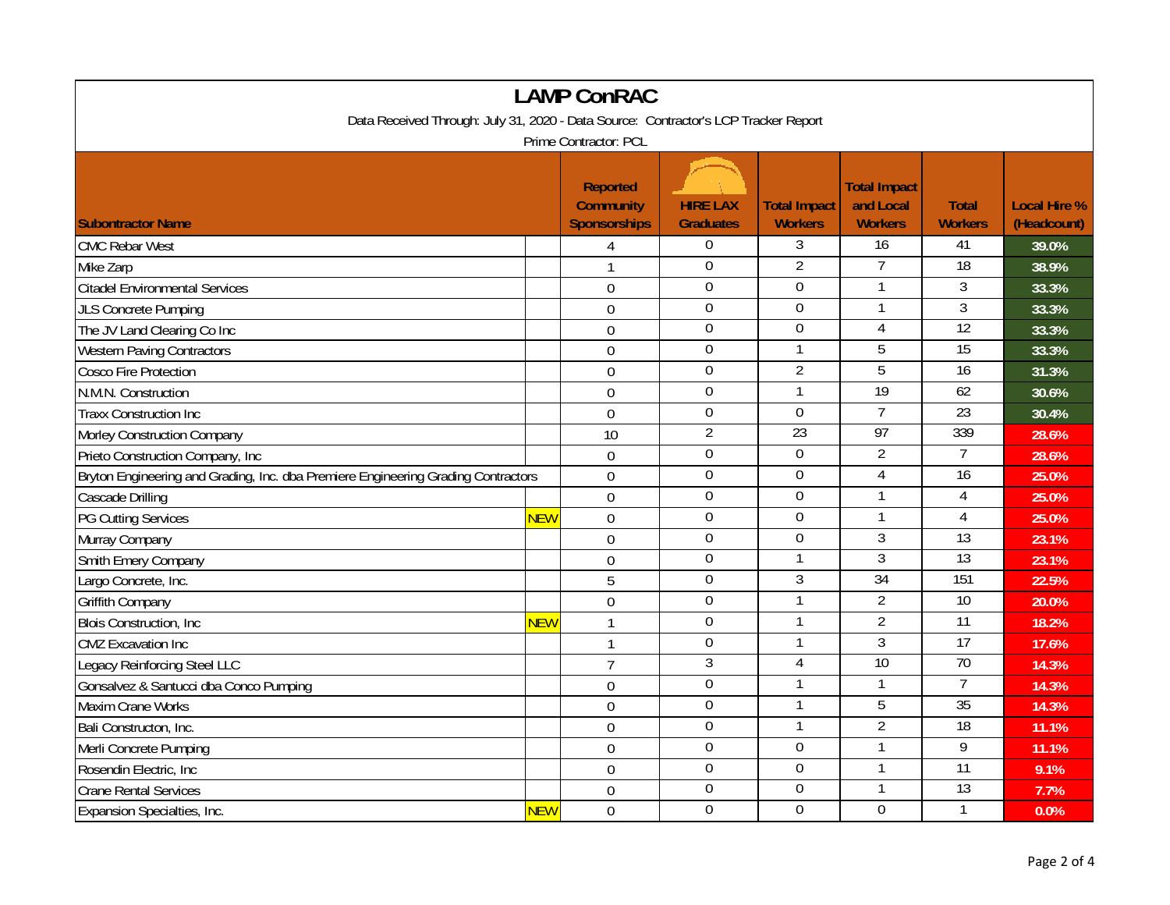| <b>LAMP ConRAC</b>                                                                  |            |                                                            |                                     |                                       |                                                    |                                |                                    |
|-------------------------------------------------------------------------------------|------------|------------------------------------------------------------|-------------------------------------|---------------------------------------|----------------------------------------------------|--------------------------------|------------------------------------|
| Data Received Through: July 31, 2020 - Data Source: Contractor's LCP Tracker Report |            |                                                            |                                     |                                       |                                                    |                                |                                    |
| Prime Contractor: PCL                                                               |            |                                                            |                                     |                                       |                                                    |                                |                                    |
| <b>Subontractor Name</b>                                                            |            | <b>Reported</b><br><b>Community</b><br><b>Sponsorships</b> | <b>HIRE LAX</b><br><b>Graduates</b> | <b>Total Impact</b><br><b>Workers</b> | <b>Total Impact</b><br>and Local<br><b>Workers</b> | <b>Total</b><br><b>Workers</b> | <b>Local Hire %</b><br>(Headcount) |
| <b>CMC Rebar West</b>                                                               |            | 4                                                          | $\Omega$                            | 3                                     | 16                                                 | 41                             | 39.0%                              |
| Mike Zarp                                                                           |            | 1                                                          | $\mathbf 0$                         | $\overline{2}$                        | $\overline{7}$                                     | $\overline{18}$                | 38.9%                              |
| <b>Citadel Environmental Services</b>                                               |            | $\overline{0}$                                             | $\overline{0}$                      | $\overline{0}$                        | $\mathbf{1}$                                       | $\overline{3}$                 | 33.3%                              |
| JLS Concrete Pumping                                                                |            | $\mathbf 0$                                                | $\mathbf 0$                         | $\mathbf 0$                           | $\mathbf{1}$                                       | $\overline{3}$                 | 33.3%                              |
| The JV Land Clearing Co Inc                                                         |            | $\mathbf 0$                                                | $\boldsymbol{0}$                    | $\mathbf 0$                           | $\overline{4}$                                     | $\overline{12}$                | 33.3%                              |
| <b>Western Paving Contractors</b>                                                   |            | $\mathbf 0$                                                | $\overline{0}$                      | $\mathbf{1}$                          | 5                                                  | $\overline{15}$                | 33.3%                              |
| <b>Cosco Fire Protection</b>                                                        |            | $\overline{0}$                                             | $\boldsymbol{0}$                    | $\overline{2}$                        | $\overline{5}$                                     | 16                             | 31.3%                              |
| N.M.N. Construction                                                                 |            | $\mathbf 0$                                                | $\overline{0}$                      |                                       | 19                                                 | 62                             | 30.6%                              |
| <b>Traxx Construction Inc</b>                                                       |            | $\overline{0}$                                             | $\mathbf 0$                         | $\mathbf 0$                           | $\overline{7}$                                     | $\overline{23}$                | 30.4%                              |
| Morley Construction Company                                                         |            | 10                                                         | $\overline{2}$                      | 23                                    | 97                                                 | 339                            | 28.6%                              |
| Prieto Construction Company, Inc                                                    |            | $\mathbf 0$                                                | $\boldsymbol{0}$                    | $\overline{0}$                        | $\overline{2}$                                     | $\overline{7}$                 | 28.6%                              |
| Bryton Engineering and Grading, Inc. dba Premiere Engineering Grading Contractors   |            | $\mathbf 0$                                                | $\mathbf 0$                         | $\mathbf 0$                           | $\overline{4}$                                     | 16                             | 25.0%                              |
| Cascade Drilling                                                                    |            | $\mathbf 0$                                                | $\mathbf 0$                         | $\mathbf 0$                           | $\mathbf{1}$                                       | 4                              | 25.0%                              |
| PG Cutting Services                                                                 | <b>NEW</b> | $\mathbf 0$                                                | $\mathbf 0$                         | $\mathbf 0$                           | $\mathbf{1}$                                       | $\overline{4}$                 | 25.0%                              |
| Murray Company                                                                      |            | $\mathbf{0}$                                               | $\boldsymbol{0}$                    | $\boldsymbol{0}$                      | $\mathfrak{Z}$                                     | $\overline{13}$                | 23.1%                              |
| Smith Emery Company                                                                 |            | 0                                                          | $\boldsymbol{0}$                    | $\mathbf{1}$                          | $\overline{3}$                                     | 13                             | 23.1%                              |
| Largo Concrete, Inc.                                                                |            | 5                                                          | $\mathbf 0$                         | 3                                     | 34                                                 | 151                            | 22.5%                              |
| Griffith Company                                                                    |            | $\mathbf 0$                                                | $\mathbf 0$                         | $\mathbf{1}$                          | $\overline{2}$                                     | $\overline{10}$                | 20.0%                              |
| <b>Blois Construction, Inc.</b>                                                     | <b>NEW</b> | $\mathbf{1}$                                               | $\mathbf 0$                         | $\mathbf{1}$                          | $\overline{2}$                                     | $\overline{11}$                | 18.2%                              |
| <b>CMZ</b> Excavation Inc                                                           |            | $\mathbf{1}$                                               | $\overline{0}$                      | $\mathbf{1}$                          | $\overline{3}$                                     | 17                             | 17.6%                              |
| Legacy Reinforcing Steel LLC                                                        |            | $\overline{7}$                                             | 3                                   | $\overline{4}$                        | $\overline{10}$                                    | $\overline{70}$                | 14.3%                              |
| Gonsalvez & Santucci dba Conco Pumping                                              |            | 0                                                          | $\boldsymbol{0}$                    | $\mathbf{1}$                          | $\mathbf{1}$                                       | $\overline{7}$                 | 14.3%                              |
| Maxim Crane Works                                                                   |            | $\overline{0}$                                             | $\mathbf 0$                         | $\mathbf{1}$                          | $\overline{5}$                                     | 35                             | 14.3%                              |
| Bali Constructon, Inc.                                                              |            | $\mathbf 0$                                                | $\mathbf 0$                         | $\mathbf{1}$                          | $\overline{2}$                                     | 18                             | 11.1%                              |
| Merli Concrete Pumping                                                              |            | $\mathbf 0$                                                | $\overline{0}$                      | $\overline{0}$                        | $\mathbf{1}$                                       | 9                              | 11.1%                              |
| Rosendin Electric, Inc.                                                             |            | $\mathbf 0$                                                | $\boldsymbol{0}$                    | $\boldsymbol{0}$                      | $\mathbf{1}$                                       | $\overline{11}$                | 9.1%                               |
| <b>Crane Rental Services</b>                                                        |            | $\mathbf 0$                                                | $\mathbf 0$                         | 0                                     | 1                                                  | 13                             | 7.7%                               |
| Expansion Specialties, Inc.                                                         | <b>NEW</b> | $\mathbf 0$                                                | $\overline{0}$                      | $\overline{0}$                        | $\overline{0}$                                     | $\mathbf{1}$                   | 0.0%                               |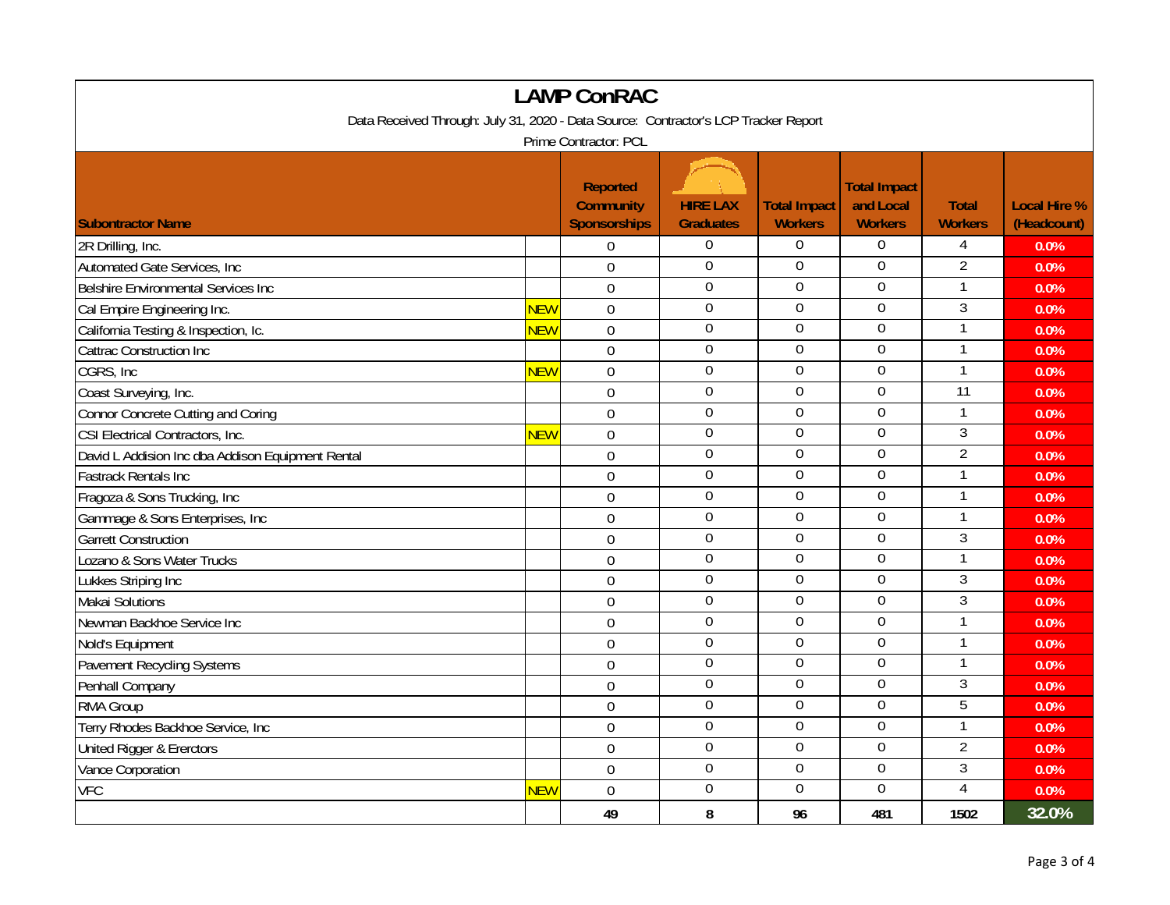| <b>LAMP ConRAC</b>                                                                  |                  |                                                            |                                     |                                       |                                                    |                                |                                    |  |
|-------------------------------------------------------------------------------------|------------------|------------------------------------------------------------|-------------------------------------|---------------------------------------|----------------------------------------------------|--------------------------------|------------------------------------|--|
| Data Received Through: July 31, 2020 - Data Source: Contractor's LCP Tracker Report |                  |                                                            |                                     |                                       |                                                    |                                |                                    |  |
| Prime Contractor: PCL                                                               |                  |                                                            |                                     |                                       |                                                    |                                |                                    |  |
| <b>Subontractor Name</b>                                                            |                  | <b>Reported</b><br><b>Community</b><br><b>Sponsorships</b> | <b>HIRE LAX</b><br><b>Graduates</b> | <b>Total Impact</b><br><b>Workers</b> | <b>Total Impact</b><br>and Local<br><b>Workers</b> | <b>Total</b><br><b>Workers</b> | <b>Local Hire %</b><br>(Headcount) |  |
| 2R Drilling, Inc.                                                                   |                  | $\mathbf 0$                                                | $\overline{0}$                      | $\boldsymbol{0}$                      | $\boldsymbol{0}$                                   | $\overline{4}$                 | 0.0%                               |  |
| Automated Gate Services, Inc                                                        |                  | $\mathbf 0$                                                | $\overline{0}$                      | $\overline{0}$                        | $\overline{0}$                                     | $\overline{2}$                 | 0.0%                               |  |
| Belshire Environmental Services Inc                                                 |                  | $\overline{0}$                                             | $\mathbf 0$                         | $\mathbf 0$                           | $\mathbf 0$                                        | $\mathbf{1}$                   | 0.0%                               |  |
| Cal Empire Engineering Inc.                                                         | NEW              | $\mathbf 0$                                                | $\overline{0}$                      | $\overline{0}$                        | $\overline{0}$                                     | $\overline{3}$                 | 0.0%                               |  |
| California Testing & Inspection, Ic.                                                | NEW              | $\mathbf 0$                                                | $\mathbf 0$                         | $\mathbf 0$                           | $\mathbf 0$                                        | $\mathbf{1}$                   | 0.0%                               |  |
| Cattrac Construction Inc                                                            |                  | $\mathbf 0$                                                | $\mathbf 0$                         | $\mathbf 0$                           | $\mathbf 0$                                        | $\mathbf{1}$                   | 0.0%                               |  |
| CGRS, Inc.                                                                          | <b>NEW</b>       | $\overline{0}$                                             | $\overline{0}$                      | $\mathbf 0$                           | 0                                                  | 1                              | 0.0%                               |  |
| Coast Surveying, Inc.                                                               |                  | $\overline{0}$                                             | $\overline{0}$                      | $\overline{0}$                        | $\overline{0}$                                     | $\overline{11}$                | 0.0%                               |  |
| Connor Concrete Cutting and Coring                                                  |                  | $\overline{0}$                                             | $\mathbf 0$                         | $\mathbf 0$                           | $\mathbf 0$                                        | $\mathbf{1}$                   | 0.0%                               |  |
| CSI Electrical Contractors, Inc.                                                    | <mark>NEW</mark> | $\mathbf 0$                                                | $\overline{0}$                      | $\mathbf 0$                           | $\mathbf 0$                                        | 3                              | 0.0%                               |  |
| David L Addision Inc dba Addison Equipment Rental                                   |                  | $\overline{0}$                                             | $\mathbf 0$                         | $\mathbf 0$                           | $\mathbf 0$                                        | $\overline{2}$                 | 0.0%                               |  |
| <b>Fastrack Rentals Inc</b>                                                         |                  | $\overline{0}$                                             | $\overline{0}$                      | 0                                     | 0                                                  |                                | 0.0%                               |  |
| Fragoza & Sons Trucking, Inc                                                        |                  | $\mathbf 0$                                                | $\Omega$                            | $\overline{0}$                        | $\mathbf 0$                                        | 1                              | 0.0%                               |  |
| Gammage & Sons Enterprises, Inc                                                     |                  | $\overline{0}$                                             | $\mathbf 0$                         | $\mathbf 0$                           | $\mathbf 0$                                        | $\mathbf{1}$                   | 0.0%                               |  |
| <b>Garrett Construction</b>                                                         |                  | $\mathbf 0$                                                | $\mathbf 0$                         | $\mathbf 0$                           | $\mathbf 0$                                        | $\overline{3}$                 | 0.0%                               |  |
| Lozano & Sons Water Trucks                                                          |                  | $\mathbf 0$                                                | $\overline{0}$                      | $\overline{0}$                        | $\overline{0}$                                     | $\mathbf{1}$                   | 0.0%                               |  |
| Lukkes Striping Inc                                                                 |                  | $\mathbf 0$                                                | $\boldsymbol{0}$                    | $\boldsymbol{0}$                      | $\mathbf 0$                                        | $\mathfrak{Z}$                 | 0.0%                               |  |
| Makai Solutions                                                                     |                  | $\boldsymbol{0}$                                           | $\mathbf 0$                         | $\mathbf 0$                           | $\mathbf 0$                                        | 3                              | 0.0%                               |  |
| Newman Backhoe Service Inc                                                          |                  | $\mathbf 0$                                                | $\boldsymbol{0}$                    | $\mathbf 0$                           | $\mathbf 0$                                        | $\mathbf{1}$                   | 0.0%                               |  |
| Nold's Equipment                                                                    |                  | $\overline{0}$                                             | $\mathbf 0$                         | $\mathbf 0$                           | $\mathbf 0$                                        | 1                              | 0.0%                               |  |
| Pavement Recycling Systems                                                          |                  | $\mathbf 0$                                                | $\mathbf 0$                         | $\mathbf 0$                           | $\mathbf 0$                                        | $\mathbf{1}$                   | 0.0%                               |  |
| Penhall Company                                                                     |                  | $\overline{0}$                                             | $\mathbf 0$                         | $\mathbf 0$                           | $\mathbf 0$                                        | $\overline{3}$                 | 0.0%                               |  |
| RMA Group                                                                           |                  | $\overline{0}$                                             | $\overline{0}$                      | $\overline{0}$                        | $\overline{0}$                                     | 5                              | 0.0%                               |  |
| Terry Rhodes Backhoe Service, Inc                                                   |                  | $\mathbf 0$                                                | $\mathbf 0$                         | $\overline{0}$                        | $\overline{0}$                                     |                                | 0.0%                               |  |
| United Rigger & Ererctors                                                           |                  | $\mathbf 0$                                                | $\mathbf 0$                         | $\overline{0}$                        | $\overline{0}$                                     | $\overline{2}$                 | 0.0%                               |  |
| Vance Corporation                                                                   |                  | $\overline{0}$                                             | $\mathbf 0$                         | $\mathbf 0$                           | $\mathbf 0$                                        | 3                              | 0.0%                               |  |
| <b>VFC</b>                                                                          | NEW              | $\mathbf 0$                                                | $\boldsymbol{0}$                    | $\overline{0}$                        | $\overline{0}$                                     | $\overline{4}$                 | 0.0%                               |  |
|                                                                                     |                  | 49                                                         | 8                                   | 96                                    | 481                                                | 1502                           | 32.0%                              |  |